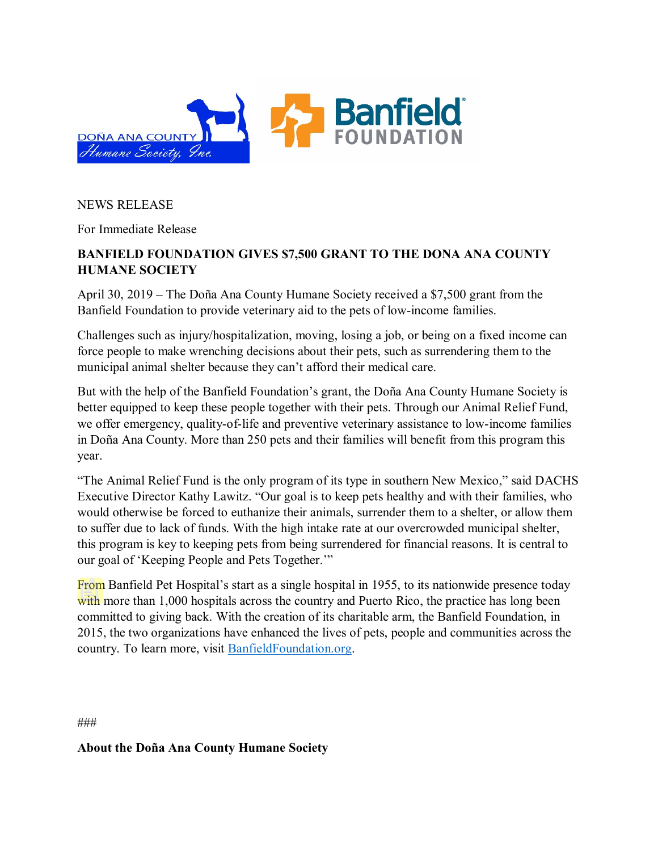

## NEWS RELEASE

For Immediate Release

## **BANFIELD FOUNDATION GIVES \$7,500 GRANT TO THE DONA ANA COUNTY HUMANE SOCIETY**

April 30, 2019 – The Doña Ana County Humane Society received a \$7,500 grant from the Banfield Foundation to provide veterinary aid to the pets of low-income families.

Challenges such as injury/hospitalization, moving, losing a job, or being on a fixed income can force people to make wrenching decisions about their pets, such as surrendering them to the municipal animal shelter because they can't afford their medical care.

But with the help of the Banfield Foundation's grant, the Doña Ana County Humane Society is better equipped to keep these people together with their pets. Through our Animal Relief Fund, we offer emergency, quality-of-life and preventive veterinary assistance to low-income families in Doña Ana County. More than 250 pets and their families will benefit from this program this year.

"The Animal Relief Fund is the only program of its type in southern New Mexico," said DACHS Executive Director Kathy Lawitz. "Our goal is to keep pets healthy and with their families, who would otherwise be forced to euthanize their animals, surrender them to a shelter, or allow them to suffer due to lack of funds. With the high intake rate at our overcrowded municipal shelter, this program is key to keeping pets from being surrendered for financial reasons. It is central to our goal of 'Keeping People and Pets Together.'"

From Banfield Pet Hospital's start as a single hospital in 1955, to its nationwide presence today with more than 1,000 hospitals across the country and Puerto Rico, the practice has long been committed to giving back. With the creation of its charitable arm, the Banfield Foundation, in 2015, the two organizations have enhanced the lives of pets, people and communities across the country. To learn more, visit [BanfieldFoundation.org.](http://www.banfieldfoundation.org/)

###

**About the Doña Ana County Humane Society**